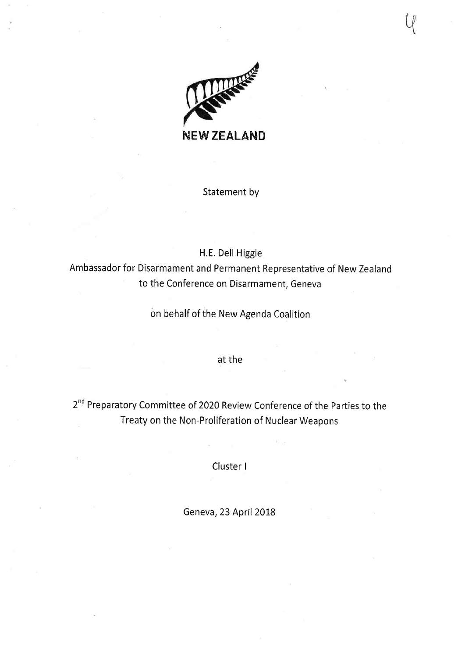

Statement by

H.E. Dell Higgie

Ambassador for Disarmament and Permanent Representative of New Zealand to the Conference on Disarmament, Geneva

on behalf of the New Agenda Coalition

at the

2<sup>nd</sup> Preparatory Committee of 2020 Review Conference of the Parties to the Treaty on the Non-Proliferation of Nuclear Weapons

Cluster I

Geneva, 23 April 2018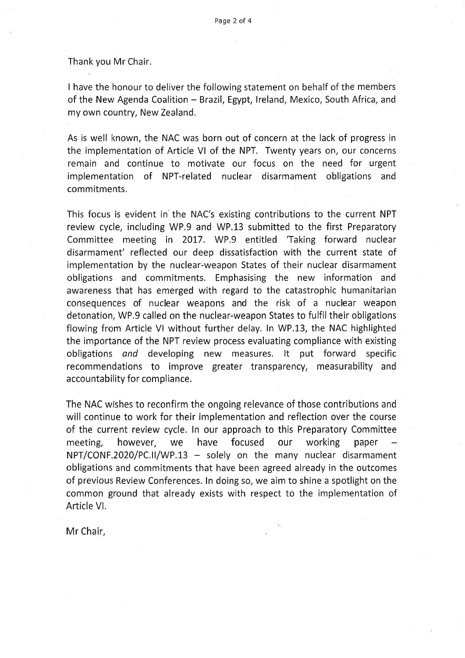Thank you Mr Chair.

I have the honour to deliver the following statement on behalf of the members of the New Agenda Coalition - Brazil, Egypt, Ireland, Mexico, South Africa, and my own country, New Zealand.

As is well known, the NAC was born out of concern at the lack of progress in the implementation of Article Vl of the NPT. Twenty years on, our concerns remain and continue to motivate our focus on the need for urgent implementation of NPT-related nuclear disarmament obligations and commitments.

This focus is evident in the NAC's existing contributions to the current NPT review cycle, including WP.9 and WP.13 submitted to the first Preparatory Committee meeting in 2017. WP.9 entitled 'Taking forward nuclear disarmament' reflected our deep dissatisfaction with the current state of implementation by the nuclear-weapon States of their nuclear disarmament obligations and commitments. Emphasising the new information and awareness that has emerged with regard to the catastrophic humanitarian consequences of nuclear weapons and the risk of a nuclear weapon detonation, WP.9 called on the nuclear-weapon States to fulfil their obligations flowing from Article Vl without further delay. In WP,13, the NAC highlighted the importance of the NPT review process evaluating compliance with existing obligations and developing new measures. It put forward specific recommendations to improve greater transparency, measurability and accountability for compliance,

The NAC wishes to reconfirm the ongoing relevance of those contributions and will continue to work for their implementation and reflection over the course of the current review cycle. In our approach to this Preparatory Committee meeting, however, we have focused our working paper  $NPT/CONF.2020/PC.II/WP.13$  - solely on the many nuclear disarmament obligations and commitments that have been agreed already in the outcomes of previous Review Conferences. In doing so, we aim to shine a spotlight on the common ground that already exists with respect to the implementation of Article Vl.

Mr Chair,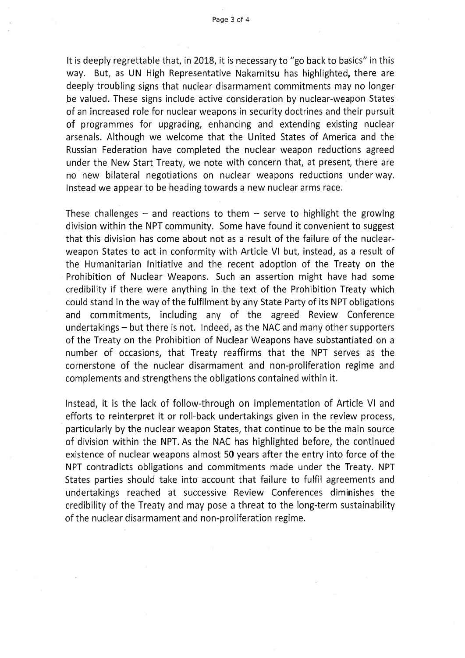Page 3 of 4

It is deeply regrettable that, in 2018, it is necessary to "go back to basics" in this way. But, as UN High Representative Nakamitsu has highlighted, there are deeply troubling signs that nuclear disarmament commitments may no longer be valued. These signs include active consideration by nuclear-weapon States of an increased role for nuclear weapons in security doctrines and their pursuit of programmes for upgrading, enhancing and extending existing nuclear arsenals. Although we welcome that the United States of America and the Russian Federation have completed the nuclear weapon reductions agreed under the New Start Treaty, we note with concern that, at present, there are no new bilateral negotiations on nuclear weapons reductions underway. Instead we appear to be heading towards a new nuclear arms race.

These challenges  $-$  and reactions to them  $-$  serve to highlight the growing division within the NPT community. Some have found it convenient to suggest that this division has come about not as a result of the failure of the nuclearweapon States to act in conformity with Article Vl but, instead, as a result of the Humanitarian Initiative and the recent adoption of the Treaty on the Prohibition of Nuclear Weapons. Such an assertion might have had some credibility if there were anything in the text of the Prohibition Treaty which could stand in the way of the fulfilment by any State Party of its NPT obligations and commitments, including any of the agreed Review Conference undertakings - but there is not. Indeed, as the NAC and many other supporters of the Treaty on the Prohibition of Nuclear Weapons have substantiated on a number of occasions, that Treaty reaffirms that the NPT serves as the cornerstone of the nuclear disarmament and non-proliferation regime and complements and strengthens the obligations contained within it.

Instead, it is the lack of follow-through on implementation of Article Vl and efforts to reinterpret it or roll-back undertakings given in the review process, particularly by the nuclear weapon States, that continue to be the main source of division within the NPT. As the NAC has highlighted before, the continued existence of nuclear weapons almost 50 years after the entry into force of the NPT contradicts obligations and commitments made under the Treaty. NPT States parties should take into account that failure to fulfil agreements and undertakings reached at successive Review Conferences diminishes the credibility of the Treaty and may pose a threat to the long-term sustainability of the nuclear disarmament and non-proliferation regime.